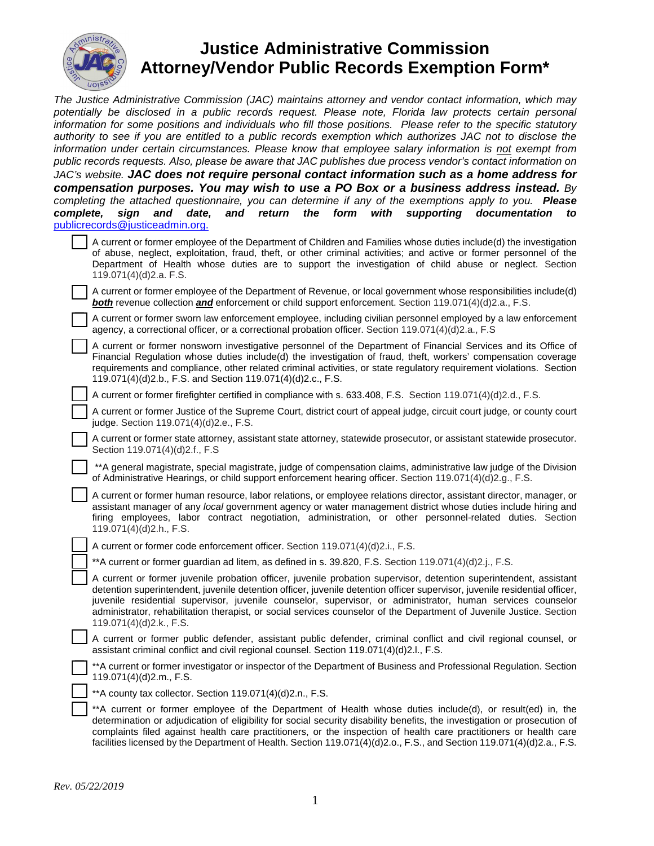

## **Justice Administrative Commission Attorney/Vendor Public Records Exemption Form\***

The Justice Administrative Commission (JAC) maintains attorney and vendor contact information, which may potentially be disclosed in a public records request. Please note, Florida law protects certain personal information for some positions and individuals who fill those positions. Please refer to the specific statutory authority to see if you are entitled to a public records exemption which authorizes JAC not to disclose the information under certain circumstances. Please know that employee salary information is not exempt from public records requests. Also, please be aware that JAC publishes due process vendor's contact information on JAC's website. **JAC does not require personal contact information such as a home address for compensation purposes. You may wish to use a PO Box or a business address instead.** By completing the attached questionnaire, you can determine if any of the exemptions apply to you. **Please complete, sign and date, and return the form with supporting documentation to**  [publicrecords@justiceadmin.org.](mailto:publicrecords@justiceadmin.org)

|                        |  | A current or former employee of the Department of Children and Families whose duties include(d) the investigation  |
|------------------------|--|--------------------------------------------------------------------------------------------------------------------|
|                        |  | of abuse, neglect, exploitation, fraud, theft, or other criminal activities; and active or former personnel of the |
| 119.071(4)(d)2.a. F.S. |  | Department of Health whose duties are to support the investigation of child abuse or neglect. Section              |

A current or former employee of the Department of Revenue, or local government whose responsibilities include(d) **both** revenue collection **and** enforcement or child support enforcement. Section 119.071(4)(d)2.a., F.S.

A current or former sworn law enforcement employee, including civilian personnel employed by a law enforcement agency, a correctional officer, or a correctional probation officer. Section 119.071(4)(d)2.a., F.S

A current or former nonsworn investigative personnel of the Department of Financial Services and its Office of Financial Regulation whose duties include(d) the investigation of fraud, theft, workers' compensation coverage requirements and compliance, other related criminal activities, or state regulatory requirement violations. Section 119.071(4)(d)2.b., F.S. and Section 119.071(4)(d)2.c., F.S.

A current or former firefighter certified in compliance with s. 633.408, F.S. Section 119.071(4)(d)2.d., F.S.

A current or former Justice of the Supreme Court, district court of appeal judge, circuit court judge, or county court judge. Section 119.071(4)(d)2.e., F.S.

A current or former state attorney, assistant state attorney, statewide prosecutor, or assistant statewide prosecutor. Section 119.071(4)(d)2.f., F.S

\*\*A general magistrate, special magistrate, judge of compensation claims, administrative law judge of the Division of Administrative Hearings, or child support enforcement hearing officer. Section 119.071(4)(d)2.g., F.S.

A current or former human resource, labor relations, or employee relations director, assistant director, manager, or assistant manager of any local government agency or water management district whose duties include hiring and firing employees, labor contract negotiation, administration, or other personnel-related duties. Section 119.071(4)(d)2.h., F.S.

A current or former code enforcement officer. Section 119.071(4)(d)2.i., F.S.

\*\*A current or former guardian ad litem, as defined in s. 39.820, F.S. Section  $119.071(4)(d)2.j., F.S.$ 

| A current or former juvenile probation officer, juvenile probation supervisor, detention superintendent, assistant                                                                                                                  |
|-------------------------------------------------------------------------------------------------------------------------------------------------------------------------------------------------------------------------------------|
| detention superintendent, juvenile detention officer, juvenile detention officer supervisor, juvenile residential officer,                                                                                                          |
| juvenile residential supervisor, juvenile counselor, supervisor, or administrator, human services counselor<br>administrator, rehabilitation therapist, or social services counselor of the Department of Juvenile Justice, Section |
| 119.071(4)(d)2.k., F.S.                                                                                                                                                                                                             |

A current or former public defender, assistant public defender, criminal conflict and civil regional counsel, or assistant criminal conflict and civil regional counsel. Section 119.071(4)(d)2.l., F.S.

\*\*A current or former investigator or inspector of the Department of Business and Professional Regulation. Section 119.071(4)(d)2.m., F.S.

\*\*A county tax collector. Section 119.071(4)(d)2.n., F.S.

\*\*A current or former employee of the Department of Health whose duties include(d), or result(ed) in, the determination or adjudication of eligibility for social security disability benefits, the investigation or prosecution of complaints filed against health care practitioners, or the inspection of health care practitioners or health care facilities licensed by the Department of Health. Section 119.071(4)(d)2.o., F.S., and Section 119.071(4)(d)2.a., F.S.